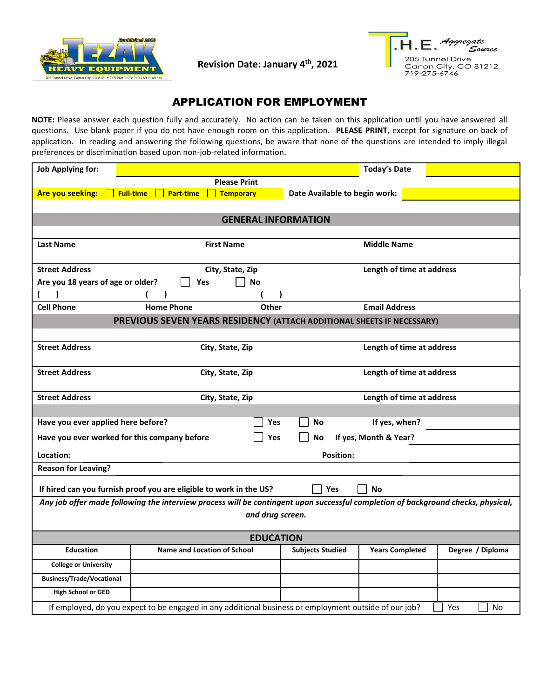

**Revision Date: January 4th, 2021**



# APPLICATION FOR EMPLOYMENT

**NOTE:** Please answer each question fully and accurately. No action can be taken on this application until you have answered all questions. Use blank paper if you do not have enough room on this application. **PLEASE PRINT**, except for signature on back of application. In reading and answering the following questions, be aware that none of the questions are intended to imply illegal preferences or discrimination based upon non-job-related information.

| <b>Job Applying for:</b>                                                               |                                                                                                                                  | <b>Today's Date</b>                        |                         |                           |                  |
|----------------------------------------------------------------------------------------|----------------------------------------------------------------------------------------------------------------------------------|--------------------------------------------|-------------------------|---------------------------|------------------|
|                                                                                        |                                                                                                                                  | <b>Please Print</b>                        |                         |                           |                  |
| <b>Are you seeking:</b>                                                                | <b>Full-time</b><br><b>Part-time</b>                                                                                             | Temporary<br>Date Available to begin work: |                         |                           |                  |
|                                                                                        |                                                                                                                                  |                                            |                         |                           |                  |
|                                                                                        |                                                                                                                                  | <b>GENERAL INFORMATION</b>                 |                         |                           |                  |
|                                                                                        |                                                                                                                                  |                                            |                         |                           |                  |
| <b>Last Name</b>                                                                       |                                                                                                                                  | <b>First Name</b>                          |                         | <b>Middle Name</b>        |                  |
| <b>Street Address</b>                                                                  |                                                                                                                                  | City, State, Zip                           |                         | Length of time at address |                  |
| Are you 18 years of age or older?                                                      | Yes                                                                                                                              | <b>No</b>                                  |                         |                           |                  |
|                                                                                        |                                                                                                                                  |                                            |                         |                           |                  |
| <b>Cell Phone</b>                                                                      | <b>Home Phone</b>                                                                                                                | Other                                      |                         | <b>Email Address</b>      |                  |
|                                                                                        | PREVIOUS SEVEN YEARS RESIDENCY (ATTACH ADDITIONAL SHEETS IF NECESSARY)                                                           |                                            |                         |                           |                  |
|                                                                                        |                                                                                                                                  |                                            |                         |                           |                  |
| <b>Street Address</b>                                                                  |                                                                                                                                  | City, State, Zip                           |                         | Length of time at address |                  |
| <b>Street Address</b>                                                                  |                                                                                                                                  | City, State, Zip                           |                         | Length of time at address |                  |
| <b>Street Address</b>                                                                  |                                                                                                                                  | City, State, Zip                           |                         | Length of time at address |                  |
|                                                                                        |                                                                                                                                  |                                            |                         |                           |                  |
| Have you ever applied here before?<br>Yes<br>If yes, when?<br>No                       |                                                                                                                                  |                                            |                         |                           |                  |
| If yes, Month & Year?<br>Have you ever worked for this company before<br>Yes<br>No     |                                                                                                                                  |                                            |                         |                           |                  |
| Location:<br><b>Position:</b>                                                          |                                                                                                                                  |                                            |                         |                           |                  |
| <b>Reason for Leaving?</b>                                                             |                                                                                                                                  |                                            |                         |                           |                  |
| If hired can you furnish proof you are eligible to work in the US?<br><b>No</b><br>Yes |                                                                                                                                  |                                            |                         |                           |                  |
|                                                                                        | Any job offer made following the interview process will be contingent upon successful completion of background checks, physical, |                                            |                         |                           |                  |
| and drug screen.                                                                       |                                                                                                                                  |                                            |                         |                           |                  |
| <b>EDUCATION</b>                                                                       |                                                                                                                                  |                                            |                         |                           |                  |
| <b>Education</b>                                                                       | <b>Name and Location of School</b>                                                                                               |                                            | <b>Subjects Studied</b> | <b>Years Completed</b>    | Degree / Diploma |
| <b>College or University</b>                                                           |                                                                                                                                  |                                            |                         |                           |                  |
| <b>Business/Trade/Vocational</b>                                                       |                                                                                                                                  |                                            |                         |                           |                  |
| <b>High School or GED</b>                                                              |                                                                                                                                  |                                            |                         |                           |                  |
|                                                                                        | If employed, do you expect to be engaged in any additional business or employment outside of our job?                            |                                            |                         |                           | Yes<br>No        |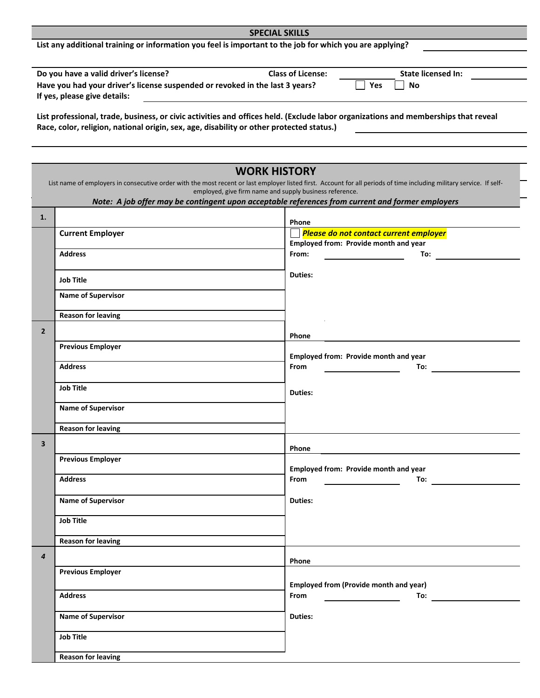|                                                                                                          | <b>SPECIAL SKILLS</b>                                                                                                                                                                                                           |                                                      |  |  |
|----------------------------------------------------------------------------------------------------------|---------------------------------------------------------------------------------------------------------------------------------------------------------------------------------------------------------------------------------|------------------------------------------------------|--|--|
| List any additional training or information you feel is important to the job for which you are applying? |                                                                                                                                                                                                                                 |                                                      |  |  |
|                                                                                                          |                                                                                                                                                                                                                                 |                                                      |  |  |
|                                                                                                          | <b>Class of License:</b><br><b>State licensed In:</b><br>Do you have a valid driver's license?                                                                                                                                  |                                                      |  |  |
|                                                                                                          | Have you had your driver's license suspended or revoked in the last 3 years?<br>If yes, please give details:                                                                                                                    | <b>Yes</b><br><b>No</b>                              |  |  |
|                                                                                                          | List professional, trade, business, or civic activities and offices held. (Exclude labor organizations and memberships that reveal                                                                                              |                                                      |  |  |
|                                                                                                          | Race, color, religion, national origin, sex, age, disability or other protected status.)                                                                                                                                        |                                                      |  |  |
|                                                                                                          |                                                                                                                                                                                                                                 |                                                      |  |  |
|                                                                                                          |                                                                                                                                                                                                                                 |                                                      |  |  |
|                                                                                                          | <b>WORK HISTORY</b>                                                                                                                                                                                                             |                                                      |  |  |
|                                                                                                          | List name of employers in consecutive order with the most recent or last employer listed first. Account for all periods of time including military service. If self-<br>employed, give firm name and supply business reference. |                                                      |  |  |
|                                                                                                          | Note: A job offer may be contingent upon acceptable references from current and former employers                                                                                                                                |                                                      |  |  |
| 1.                                                                                                       |                                                                                                                                                                                                                                 | Phone                                                |  |  |
|                                                                                                          | <b>Current Employer</b>                                                                                                                                                                                                         | Please do not contact current employer               |  |  |
|                                                                                                          |                                                                                                                                                                                                                                 | Employed from: Provide month and year                |  |  |
|                                                                                                          | <b>Address</b>                                                                                                                                                                                                                  | From:<br>To:                                         |  |  |
|                                                                                                          | <b>Job Title</b>                                                                                                                                                                                                                | Duties:                                              |  |  |
|                                                                                                          | <b>Name of Supervisor</b>                                                                                                                                                                                                       |                                                      |  |  |
|                                                                                                          | <b>Reason for leaving</b>                                                                                                                                                                                                       |                                                      |  |  |
| $\overline{2}$                                                                                           |                                                                                                                                                                                                                                 |                                                      |  |  |
|                                                                                                          | <b>Previous Employer</b>                                                                                                                                                                                                        | Phone                                                |  |  |
|                                                                                                          |                                                                                                                                                                                                                                 | Employed from: Provide month and year                |  |  |
|                                                                                                          | <b>Address</b>                                                                                                                                                                                                                  | From<br>To:                                          |  |  |
|                                                                                                          | <b>Job Title</b>                                                                                                                                                                                                                | <b>Duties:</b>                                       |  |  |
|                                                                                                          | <b>Name of Supervisor</b>                                                                                                                                                                                                       |                                                      |  |  |
|                                                                                                          | <b>Reason for leaving</b>                                                                                                                                                                                                       |                                                      |  |  |
| 3                                                                                                        |                                                                                                                                                                                                                                 | Phone                                                |  |  |
|                                                                                                          | <b>Previous Employer</b>                                                                                                                                                                                                        |                                                      |  |  |
|                                                                                                          | <b>Address</b>                                                                                                                                                                                                                  | Employed from: Provide month and year<br>From<br>To: |  |  |
|                                                                                                          |                                                                                                                                                                                                                                 |                                                      |  |  |
|                                                                                                          | <b>Name of Supervisor</b>                                                                                                                                                                                                       | Duties:                                              |  |  |
|                                                                                                          | <b>Job Title</b>                                                                                                                                                                                                                |                                                      |  |  |
|                                                                                                          | <b>Reason for leaving</b>                                                                                                                                                                                                       |                                                      |  |  |
| 4                                                                                                        |                                                                                                                                                                                                                                 | Phone                                                |  |  |
|                                                                                                          | <b>Previous Employer</b>                                                                                                                                                                                                        |                                                      |  |  |
|                                                                                                          |                                                                                                                                                                                                                                 | <b>Employed from (Provide month and year)</b>        |  |  |
|                                                                                                          | <b>Address</b>                                                                                                                                                                                                                  | From<br>To:                                          |  |  |
|                                                                                                          | <b>Name of Supervisor</b>                                                                                                                                                                                                       | Duties:                                              |  |  |
|                                                                                                          | <b>Job Title</b>                                                                                                                                                                                                                |                                                      |  |  |
|                                                                                                          | <b>Reason for leaving</b>                                                                                                                                                                                                       |                                                      |  |  |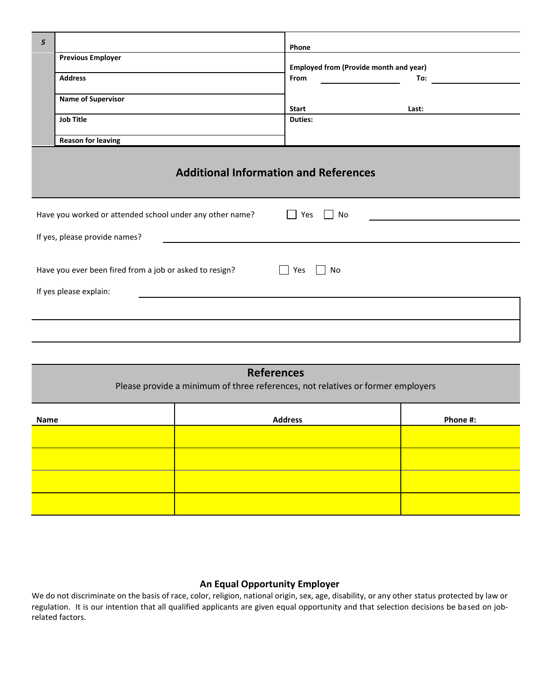| 5                                                                                                      | <b>Previous Employer</b><br><b>Address</b><br><b>Name of Supervisor</b> | Phone<br><b>Employed from (Provide month and year)</b><br>From<br>To: |  |  |
|--------------------------------------------------------------------------------------------------------|-------------------------------------------------------------------------|-----------------------------------------------------------------------|--|--|
|                                                                                                        | <b>Job Title</b>                                                        | <b>Start</b><br>Last:<br>Duties:                                      |  |  |
|                                                                                                        | <b>Reason for leaving</b>                                               |                                                                       |  |  |
| <b>Additional Information and References</b>                                                           |                                                                         |                                                                       |  |  |
| Have you worked or attended school under any other name?<br>Yes<br>No<br>If yes, please provide names? |                                                                         |                                                                       |  |  |
| Have you ever been fired from a job or asked to resign?<br>No<br>Yes<br>If yes please explain:         |                                                                         |                                                                       |  |  |
|                                                                                                        |                                                                         |                                                                       |  |  |
|                                                                                                        |                                                                         |                                                                       |  |  |
|                                                                                                        |                                                                         |                                                                       |  |  |

| <b>References</b><br>Please provide a minimum of three references, not relatives or former employers |                |          |  |
|------------------------------------------------------------------------------------------------------|----------------|----------|--|
| Name                                                                                                 | <b>Address</b> | Phone #: |  |
|                                                                                                      |                |          |  |
|                                                                                                      |                |          |  |
|                                                                                                      |                |          |  |
|                                                                                                      |                |          |  |

# **An Equal Opportunity Employer**

We do not discriminate on the basis of race, color, religion, national origin, sex, age, disability, or any other status protected by law or regulation. It is our intention that all qualified applicants are given equal opportunity and that selection decisions be based on jobrelated factors.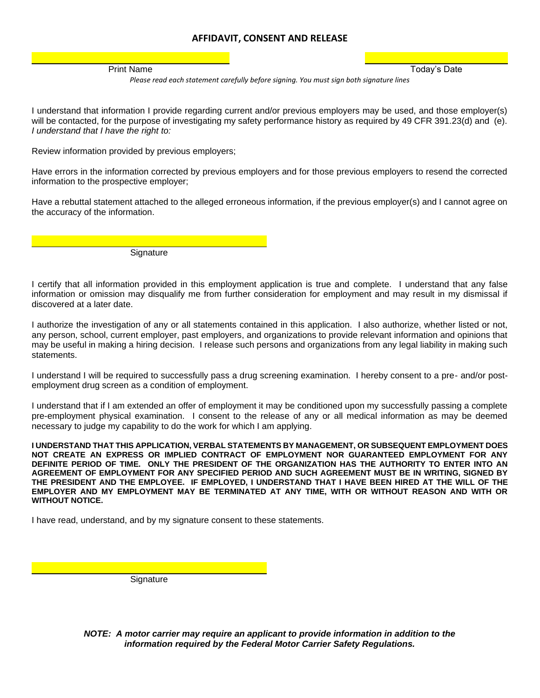# **AFFIDAVIT, CONSENT AND RELEASE**

Print Name Today's Date Today's Date Today's Date Today's Date Today's Date Today's Date

*Please read each statement carefully before signing. You must sign both signature lines*

I understand that information I provide regarding current and/or previous employers may be used, and those employer(s) will be contacted, for the purpose of investigating my safety performance history as required by 49 CFR 391.23(d) and (e). *I understand that I have the right to:*

Review information provided by previous employers;

Have errors in the information corrected by previous employers and for those previous employers to resend the corrected information to the prospective employer;

Have a rebuttal statement attached to the alleged erroneous information, if the previous employer(s) and I cannot agree on the accuracy of the information.

**Signature** 

I certify that all information provided in this employment application is true and complete. I understand that any false information or omission may disqualify me from further consideration for employment and may result in my dismissal if discovered at a later date.

I authorize the investigation of any or all statements contained in this application. I also authorize, whether listed or not, any person, school, current employer, past employers, and organizations to provide relevant information and opinions that may be useful in making a hiring decision. I release such persons and organizations from any legal liability in making such statements.

I understand I will be required to successfully pass a drug screening examination. I hereby consent to a pre- and/or postemployment drug screen as a condition of employment.

I understand that if I am extended an offer of employment it may be conditioned upon my successfully passing a complete pre-employment physical examination. I consent to the release of any or all medical information as may be deemed necessary to judge my capability to do the work for which I am applying.

**I UNDERSTAND THAT THIS APPLICATION, VERBAL STATEMENTS BY MANAGEMENT, OR SUBSEQUENT EMPLOYMENT DOES NOT CREATE AN EXPRESS OR IMPLIED CONTRACT OF EMPLOYMENT NOR GUARANTEED EMPLOYMENT FOR ANY DEFINITE PERIOD OF TIME. ONLY THE PRESIDENT OF THE ORGANIZATION HAS THE AUTHORITY TO ENTER INTO AN AGREEMENT OF EMPLOYMENT FOR ANY SPECIFIED PERIOD AND SUCH AGREEMENT MUST BE IN WRITING, SIGNED BY THE PRESIDENT AND THE EMPLOYEE. IF EMPLOYED, I UNDERSTAND THAT I HAVE BEEN HIRED AT THE WILL OF THE EMPLOYER AND MY EMPLOYMENT MAY BE TERMINATED AT ANY TIME, WITH OR WITHOUT REASON AND WITH OR WITHOUT NOTICE.**

I have read, understand, and by my signature consent to these statements.

**Signature** 

*NOTE: A motor carrier may require an applicant to provide information in addition to the information required by the Federal Motor Carrier Safety Regulations.*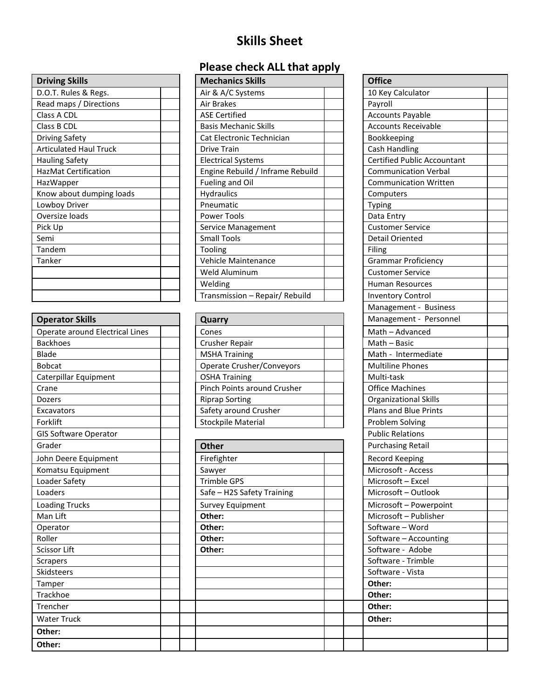# **Skills Sheet**

| <b>Driving Skills</b>         |  |  |  |
|-------------------------------|--|--|--|
| D.O.T. Rules & Regs.          |  |  |  |
| Read maps / Directions        |  |  |  |
| Class A CDL                   |  |  |  |
| Class B CDL                   |  |  |  |
| Driving Safety                |  |  |  |
| <b>Articulated Haul Truck</b> |  |  |  |
| <b>Hauling Safety</b>         |  |  |  |
| <b>HazMat Certification</b>   |  |  |  |
| HazWapper                     |  |  |  |
| Know about dumping loads      |  |  |  |
| Lowboy Driver                 |  |  |  |
| Oversize loads                |  |  |  |
| Pick Up                       |  |  |  |
| Semi                          |  |  |  |
| Tandem                        |  |  |  |
| Tanker                        |  |  |  |
|                               |  |  |  |
|                               |  |  |  |
|                               |  |  |  |

| <b>Operator Skills</b>          | Quarry                           | Management - Personnel       |
|---------------------------------|----------------------------------|------------------------------|
| Operate around Electrical Lines | Cones                            | Math - Advanced              |
| <b>Backhoes</b>                 | Crusher Repair                   | Math - Basic                 |
| Blade                           | <b>MSHA Training</b>             | Math - Intermediate          |
| <b>Bobcat</b>                   | <b>Operate Crusher/Conveyors</b> | <b>Multiline Phones</b>      |
| Caterpillar Equipment           | <b>OSHA Training</b>             | Multi-task                   |
| Crane                           | Pinch Points around Crusher      | <b>Office Machines</b>       |
| <b>Dozers</b>                   | <b>Riprap Sorting</b>            | Organizational Skills        |
| Excavators                      | Safety around Crusher            | <b>Plans and Blue Prints</b> |
| Forklift                        | <b>Stockpile Material</b>        | Problem Solving              |
| <b>GIS Software Operator</b>    |                                  | <b>Public Relations</b>      |
| Grader                          | <b>Other</b>                     | <b>Purchasing Retail</b>     |
| John Deere Equipment            | Firefighter                      | <b>Record Keeping</b>        |
| Komatsu Equipment               | Sawyer                           | Microsoft - Access           |
| Loader Safety                   | <b>Trimble GPS</b>               | Microsoft - Excel            |
| Loaders                         | Safe - H2S Safety Training       | Microsoft - Outlook          |
| <b>Loading Trucks</b>           | <b>Survey Equipment</b>          | Microsoft - Powerpoint       |
| Man Lift                        | Other:                           | Microsoft - Publisher        |
| Operator                        | Other:                           | Software - Word              |
| Roller                          | Other:                           | Software - Accounting        |
| <b>Scissor Lift</b>             | Other:                           | Software - Adobe             |
| <b>Scrapers</b>                 |                                  | Software - Trimble           |
| <b>Skidsteers</b>               |                                  | Software - Vista             |
| Tamper                          |                                  | Other:                       |
| Trackhoe                        |                                  | Other:                       |
| Trencher                        |                                  | Other:                       |
| <b>Water Truck</b>              |                                  | Other:                       |
| Other:                          |                                  |                              |
| Other:                          |                                  |                              |

# **Please check ALL that apply**

| <b>Driving Skills</b>         | <b>Mechanics Skills</b>          | <b>Office</b>                      |
|-------------------------------|----------------------------------|------------------------------------|
| D.O.T. Rules & Regs.          | Air & A/C Systems                | 10 Key Calculator                  |
| Read maps / Directions        | Air Brakes                       | Payroll                            |
| Class A CDL                   | <b>ASE Certified</b>             | <b>Accounts Payable</b>            |
| Class B CDL                   | <b>Basis Mechanic Skills</b>     | <b>Accounts Receivable</b>         |
| Driving Safety                | Cat Electronic Technician        | Bookkeeping                        |
| <b>Articulated Haul Truck</b> | <b>Drive Train</b>               | Cash Handling                      |
| <b>Hauling Safety</b>         | <b>Electrical Systems</b>        | <b>Certified Public Accountant</b> |
| HazMat Certification          | Engine Rebuild / Inframe Rebuild | <b>Communication Verbal</b>        |
| <b>HazWapper</b>              | Fueling and Oil                  | <b>Communication Written</b>       |
| Know about dumping loads      | <b>Hydraulics</b>                | Computers                          |
| Lowboy Driver                 | Pneumatic                        | <b>Typing</b>                      |
| Oversize loads                | Power Tools                      | Data Entry                         |
| Pick Up                       | Service Management               | <b>Customer Service</b>            |
| Semi                          | <b>Small Tools</b>               | <b>Detail Oriented</b>             |
| Tandem                        | Tooling                          | <b>Filing</b>                      |
| Tanker                        | Vehicle Maintenance              | <b>Grammar Proficiency</b>         |
|                               | Weld Aluminum                    | <b>Customer Service</b>            |
|                               | Welding                          | <b>Human Resources</b>             |
|                               | Transmission - Repair/ Rebuild   | <b>Inventory Control</b>           |
|                               |                                  |                                    |

| Quarry                      |  |
|-----------------------------|--|
| Cones                       |  |
| Crusher Repair              |  |
| <b>MSHA Training</b>        |  |
| Operate Crusher/Conveyors   |  |
| <b>OSHA Training</b>        |  |
| Pinch Points around Crusher |  |
| <b>Riprap Sorting</b>       |  |
| Safety around Crusher       |  |
| Stockpile Material          |  |

| Grader                | <b>Other</b>               | <b>Purchasing Retail</b> |
|-----------------------|----------------------------|--------------------------|
| John Deere Equipment  | Firefighter                | Record Keeping           |
| Komatsu Equipment     | Sawyer                     | Microsoft - Access       |
| Loader Safety         | <b>Trimble GPS</b>         | Microsoft - Excel        |
| Loaders               | Safe - H2S Safety Training | Microsoft - Outlook      |
| <b>Loading Trucks</b> | <b>Survey Equipment</b>    | Microsoft - Powerpoint   |
| Man Lift              | Other:                     | Microsoft - Publisher    |
| Operator              | Other:                     | Software - Word          |
| Roller                | Other:                     | Software - Accounting    |
| Scissor Lift          | Other:                     | Software - Adobe         |
| <b>Scrapers</b>       |                            | Software - Trimble       |
| Skidsteers            |                            | Software - Vista         |
| Tamper                |                            | Other:                   |
| Trackhoe              |                            | Other:                   |
| Trencher              |                            | Other:                   |
| Water Truck           |                            | Other:                   |
| Other:                |                            |                          |
| Other <sup>.</sup>    |                            |                          |

| <b>Office</b>                      |  |
|------------------------------------|--|
| 10 Key Calculator                  |  |
| Payroll                            |  |
| <b>Accounts Payable</b>            |  |
| <b>Accounts Receivable</b>         |  |
| Bookkeeping                        |  |
| <b>Cash Handling</b>               |  |
| <b>Certified Public Accountant</b> |  |
| <b>Communication Verbal</b>        |  |
| <b>Communication Written</b>       |  |
| Computers                          |  |
| <b>Typing</b>                      |  |
| Data Entry                         |  |
| <b>Customer Service</b>            |  |
| Detail Oriented                    |  |
| Filing                             |  |
| <b>Grammar Proficiency</b>         |  |
| <b>Customer Service</b>            |  |
| <b>Human Resources</b>             |  |
| <b>Inventory Control</b>           |  |
|                                    |  |
| Management - Business              |  |
| Management - Personnel             |  |
| Math - Advanced                    |  |
| Math $-$ Basic                     |  |
| Math - Intermediate                |  |
| <b>Multiline Phones</b>            |  |
| Multi-task                         |  |
| <b>Office Machines</b>             |  |
| Organizational Skills              |  |
| Plans and Blue Prints              |  |
| <b>Problem Solving</b>             |  |
| <b>Public Relations</b>            |  |
| <b>Purchasing Retail</b>           |  |
| <b>Record Keeping</b>              |  |
| Microsoft - Access                 |  |
| Microsoft - Excel                  |  |
| Microsoft - Outlook                |  |
| Microsoft - Powerpoint             |  |
| Microsoft - Publisher              |  |
| Software - Word                    |  |
| Software - Accounting              |  |
| Software - Adobe                   |  |
| Software - Trimble                 |  |
| Software - Vista                   |  |
| Other:                             |  |
| Other:                             |  |
| Other:                             |  |
|                                    |  |
| Other:                             |  |
|                                    |  |
|                                    |  |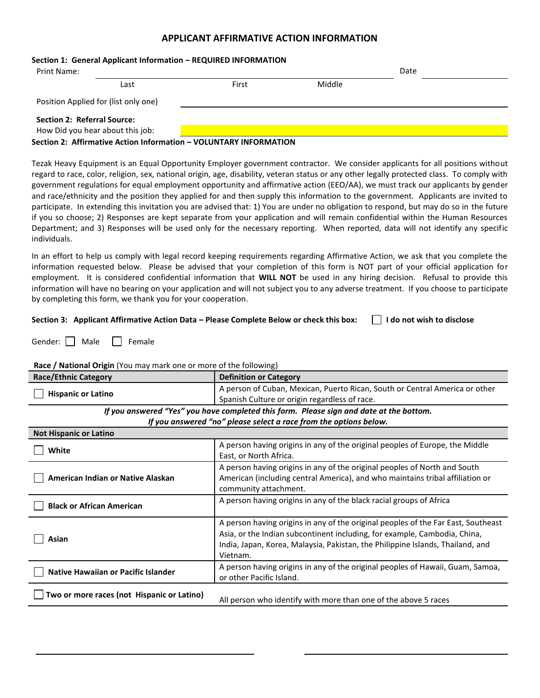## **APPLICANT AFFIRMATIVE ACTION INFORMATION**

#### **Section 1: General Applicant Information – REQUIRED INFORMATION**

| Print Name:                                                                                                                                                                                                                                                            |                                      |       |        | Date |  |
|------------------------------------------------------------------------------------------------------------------------------------------------------------------------------------------------------------------------------------------------------------------------|--------------------------------------|-------|--------|------|--|
|                                                                                                                                                                                                                                                                        | Last                                 | First | Middle |      |  |
|                                                                                                                                                                                                                                                                        | Position Applied for (list only one) |       |        |      |  |
| <b>Section 2: Referral Source:</b>                                                                                                                                                                                                                                     |                                      |       |        |      |  |
| How Did you hear about this job:<br>$\mathcal{L}$ is a set of the state of the contract of the contract of the state of the state of the state of the state of the state of the state of the state of the state of the state of the state of the state of the state of |                                      |       |        |      |  |

#### **Section 2: Affirmative Action Information – VOLUNTARY INFORMATION**

Tezak Heavy Equipment is an Equal Opportunity Employer government contractor. We consider applicants for all positions without regard to race, color, religion, sex, national origin, age, disability, veteran status or any other legally protected class. To comply with government regulations for equal employment opportunity and affirmative action (EEO/AA), we must track our applicants by gender and race/ethnicity and the position they applied for and then supply this information to the government. Applicants are invited to participate. In extending this invitation you are advised that: 1) You are under no obligation to respond, but may do so in the future if you so choose; 2) Responses are kept separate from your application and will remain confidential within the Human Resources Department; and 3) Responses will be used only for the necessary reporting. When reported, data will not identify any specific individuals.

In an effort to help us comply with legal record keeping requirements regarding Affirmative Action, we ask that you complete the information requested below. Please be advised that your completion of this form is NOT part of your official application for employment. It is considered confidential information that **WILL NOT** be used in any hiring decision. Refusal to provide this information will have no bearing on your application and will not subject you to any adverse treatment. If you choose to participate by completing this form, we thank you for your cooperation.

#### **Section 3: Applicant Affirmative Action Data – Please Complete Below or check this box: I do not wish to disclose**

Gender: Male Female

#### **Race / National Origin** (You may mark one or more of the following)

| <b>Race/Ethnic Category</b>                | <b>Definition or Category</b>                                                           |  |
|--------------------------------------------|-----------------------------------------------------------------------------------------|--|
| <b>Hispanic or Latino</b>                  | A person of Cuban, Mexican, Puerto Rican, South or Central America or other             |  |
|                                            | Spanish Culture or origin regardless of race.                                           |  |
|                                            | If you answered "Yes" you have completed this form. Please sign and date at the bottom. |  |
|                                            | If you answered "no" please select a race from the options below.                       |  |
| <b>Not Hispanic or Latino</b>              |                                                                                         |  |
| White                                      | A person having origins in any of the original peoples of Europe, the Middle            |  |
|                                            | East, or North Africa.                                                                  |  |
|                                            | A person having origins in any of the original peoples of North and South               |  |
| American Indian or Native Alaskan          | American (including central America), and who maintains tribal affiliation or           |  |
|                                            | community attachment.                                                                   |  |
| <b>Black or African American</b>           | A person having origins in any of the black racial groups of Africa                     |  |
|                                            |                                                                                         |  |
|                                            | A person having origins in any of the original peoples of the Far East, Southeast       |  |
| Asian                                      | Asia, or the Indian subcontinent including, for example, Cambodia, China,               |  |
|                                            | India, Japan, Korea, Malaysia, Pakistan, the Philippine Islands, Thailand, and          |  |
|                                            | Vietnam.                                                                                |  |
| <b>Native Hawaiian or Pacific Islander</b> | A person having origins in any of the original peoples of Hawaii, Guam, Samoa,          |  |
|                                            | or other Pacific Island.                                                                |  |
| Two or more races (not Hispanic or Latino) |                                                                                         |  |
|                                            | All person who identify with more than one of the above 5 races                         |  |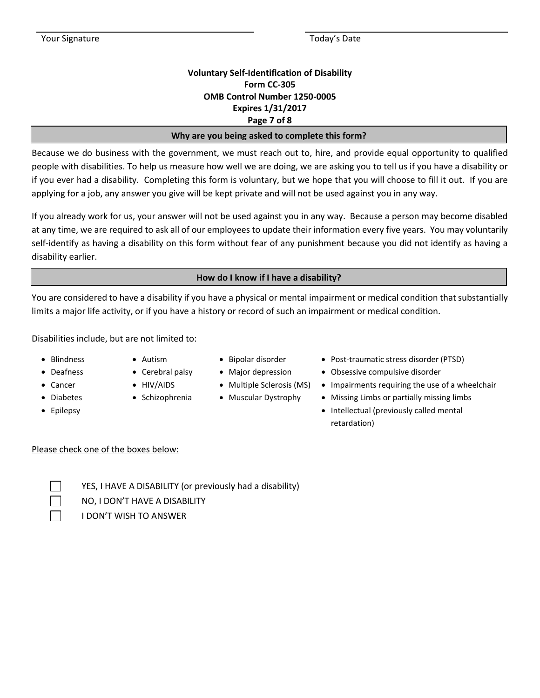# **Voluntary Self-Identification of Disability Form CC-305 OMB Control Number 1250-0005 Expires 1/31/2017 Page 7 of 8**

### **Why are you being asked to complete this form?**

Because we do business with the government, we must reach out to, hire, and provide equal opportunity to qualified people with disabilities. To help us measure how well we are doing, we are asking you to tell us if you have a disability or if you ever had a disability. Completing this form is voluntary, but we hope that you will choose to fill it out. If you are applying for a job, any answer you give will be kept private and will not be used against you in any way.

If you already work for us, your answer will not be used against you in any way. Because a person may become disabled at any time, we are required to ask all of our employees to update their information every five years. You may voluntarily self-identify as having a disability on this form without fear of any punishment because you did not identify as having a disability earlier.

## **How do I know if I have a disability?**

You are considered to have a disability if you have a physical or mental impairment or medical condition that substantially limits a major life activity, or if you have a history or record of such an impairment or medical condition.

Disabilities include, but are not limited to:

- -
- 
- 
- 
- 
- 
- 
- 
- 
- Blindness Autism Bipolar disorder Post-traumatic stress disorder (PTSD)
- Deafness Cerebral palsy Major depression Obsessive compulsive disorder
- Cancer HIV/AIDS Multiple Sclerosis (MS) Impairments requiring the use of a wheelchair
- Diabetes Schizophrenia Muscular Dystrophy Missing Limbs or partially missing limbs
- Epilepsy Intellectual (previously called mental retardation)

Please check one of the boxes below:

YES, I HAVE A DISABILITY (or previously had a disability) NO, I DON'T HAVE A DISABILITY

| IΝU, |
|------|
| l DC |

DN'T WISH TO ANSWER